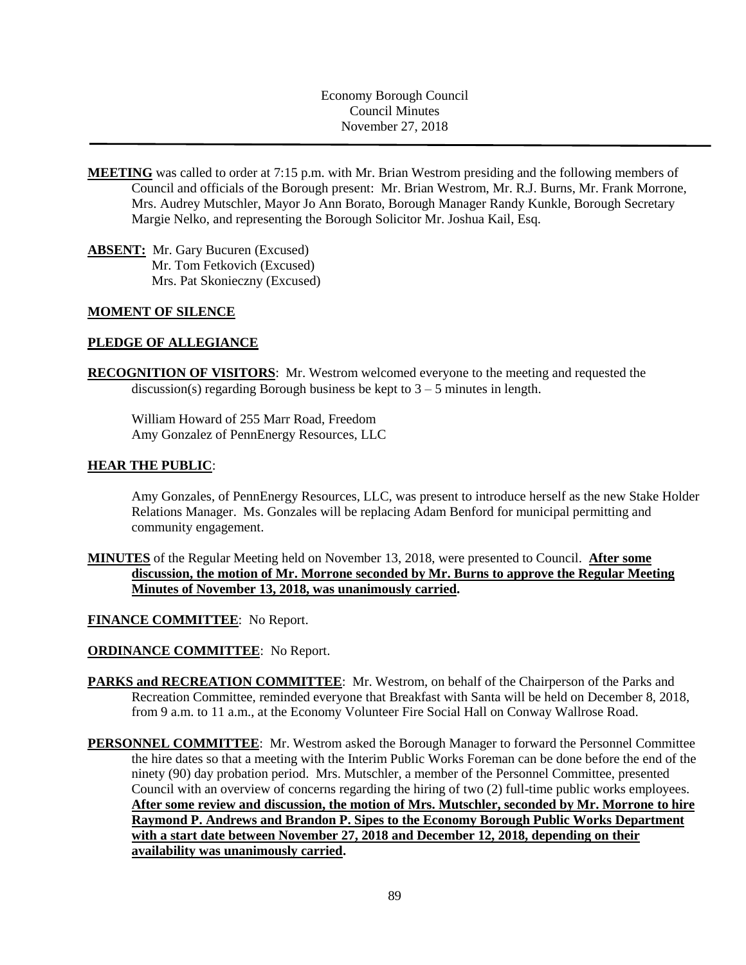Economy Borough Council Council Minutes November 27, 2018

- **MEETING** was called to order at 7:15 p.m. with Mr. Brian Westrom presiding and the following members of Council and officials of the Borough present: Mr. Brian Westrom, Mr. R.J. Burns, Mr. Frank Morrone, Mrs. Audrey Mutschler, Mayor Jo Ann Borato, Borough Manager Randy Kunkle, Borough Secretary Margie Nelko, and representing the Borough Solicitor Mr. Joshua Kail, Esq.
- **ABSENT:** Mr. Gary Bucuren (Excused) Mr. Tom Fetkovich (Excused) Mrs. Pat Skonieczny (Excused)

### **MOMENT OF SILENCE**

### **PLEDGE OF ALLEGIANCE**

**RECOGNITION OF VISITORS**: Mr. Westrom welcomed everyone to the meeting and requested the discussion(s) regarding Borough business be kept to  $3 - 5$  minutes in length.

William Howard of 255 Marr Road, Freedom Amy Gonzalez of PennEnergy Resources, LLC

#### **HEAR THE PUBLIC**:

Amy Gonzales, of PennEnergy Resources, LLC, was present to introduce herself as the new Stake Holder Relations Manager. Ms. Gonzales will be replacing Adam Benford for municipal permitting and community engagement.

**MINUTES** of the Regular Meeting held on November 13, 2018, were presented to Council. **After some discussion, the motion of Mr. Morrone seconded by Mr. Burns to approve the Regular Meeting Minutes of November 13, 2018, was unanimously carried.**

**FINANCE COMMITTEE**: No Report.

**ORDINANCE COMMITTEE**: No Report.

- **PARKS and RECREATION COMMITTEE**: Mr. Westrom, on behalf of the Chairperson of the Parks and Recreation Committee, reminded everyone that Breakfast with Santa will be held on December 8, 2018, from 9 a.m. to 11 a.m., at the Economy Volunteer Fire Social Hall on Conway Wallrose Road.
- **PERSONNEL COMMITTEE**: Mr. Westrom asked the Borough Manager to forward the Personnel Committee the hire dates so that a meeting with the Interim Public Works Foreman can be done before the end of the ninety (90) day probation period. Mrs. Mutschler, a member of the Personnel Committee, presented Council with an overview of concerns regarding the hiring of two (2) full-time public works employees. **After some review and discussion, the motion of Mrs. Mutschler, seconded by Mr. Morrone to hire Raymond P. Andrews and Brandon P. Sipes to the Economy Borough Public Works Department with a start date between November 27, 2018 and December 12, 2018, depending on their availability was unanimously carried.**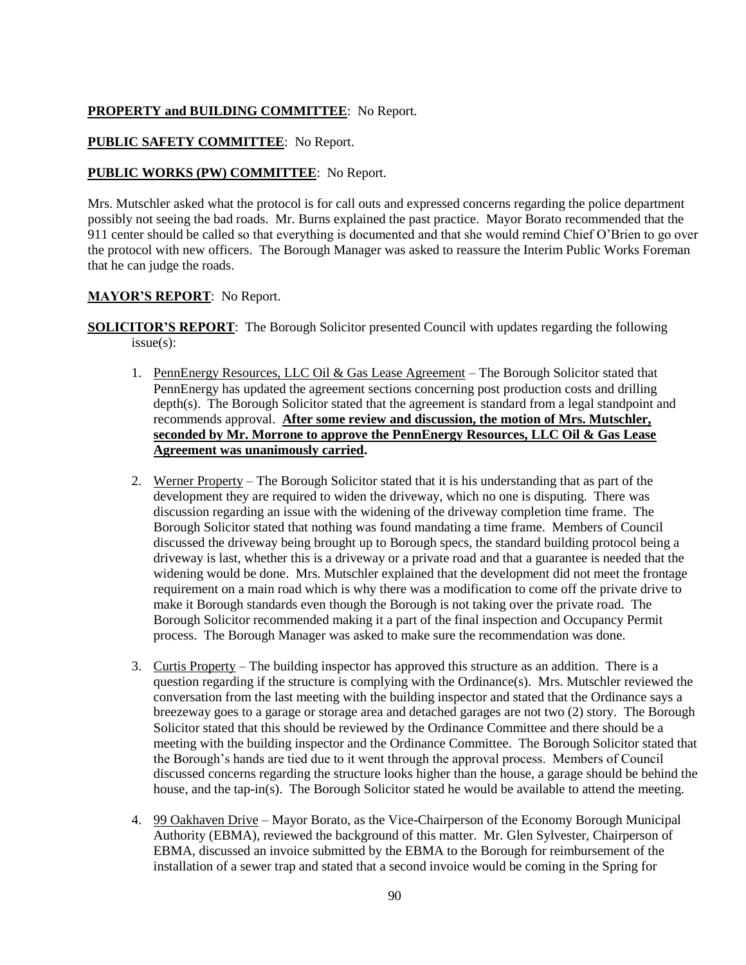# **PROPERTY and BUILDING COMMITTEE**: No Report.

## **PUBLIC SAFETY COMMITTEE**: No Report.

### **PUBLIC WORKS (PW) COMMITTEE**: No Report.

Mrs. Mutschler asked what the protocol is for call outs and expressed concerns regarding the police department possibly not seeing the bad roads. Mr. Burns explained the past practice. Mayor Borato recommended that the 911 center should be called so that everything is documented and that she would remind Chief O'Brien to go over the protocol with new officers. The Borough Manager was asked to reassure the Interim Public Works Foreman that he can judge the roads.

### **MAYOR'S REPORT**: No Report.

**SOLICITOR'S REPORT:** The Borough Solicitor presented Council with updates regarding the following issue(s):

- 1. PennEnergy Resources, LLC Oil & Gas Lease Agreement The Borough Solicitor stated that PennEnergy has updated the agreement sections concerning post production costs and drilling depth(s). The Borough Solicitor stated that the agreement is standard from a legal standpoint and recommends approval. **After some review and discussion, the motion of Mrs. Mutschler, seconded by Mr. Morrone to approve the PennEnergy Resources, LLC Oil & Gas Lease Agreement was unanimously carried.**
- 2. Werner Property The Borough Solicitor stated that it is his understanding that as part of the development they are required to widen the driveway, which no one is disputing. There was discussion regarding an issue with the widening of the driveway completion time frame. The Borough Solicitor stated that nothing was found mandating a time frame. Members of Council discussed the driveway being brought up to Borough specs, the standard building protocol being a driveway is last, whether this is a driveway or a private road and that a guarantee is needed that the widening would be done. Mrs. Mutschler explained that the development did not meet the frontage requirement on a main road which is why there was a modification to come off the private drive to make it Borough standards even though the Borough is not taking over the private road. The Borough Solicitor recommended making it a part of the final inspection and Occupancy Permit process. The Borough Manager was asked to make sure the recommendation was done.
- 3. Curtis Property The building inspector has approved this structure as an addition. There is a question regarding if the structure is complying with the Ordinance(s). Mrs. Mutschler reviewed the conversation from the last meeting with the building inspector and stated that the Ordinance says a breezeway goes to a garage or storage area and detached garages are not two (2) story. The Borough Solicitor stated that this should be reviewed by the Ordinance Committee and there should be a meeting with the building inspector and the Ordinance Committee. The Borough Solicitor stated that the Borough's hands are tied due to it went through the approval process. Members of Council discussed concerns regarding the structure looks higher than the house, a garage should be behind the house, and the tap-in(s). The Borough Solicitor stated he would be available to attend the meeting.
- 4. 99 Oakhaven Drive Mayor Borato, as the Vice-Chairperson of the Economy Borough Municipal Authority (EBMA), reviewed the background of this matter. Mr. Glen Sylvester, Chairperson of EBMA, discussed an invoice submitted by the EBMA to the Borough for reimbursement of the installation of a sewer trap and stated that a second invoice would be coming in the Spring for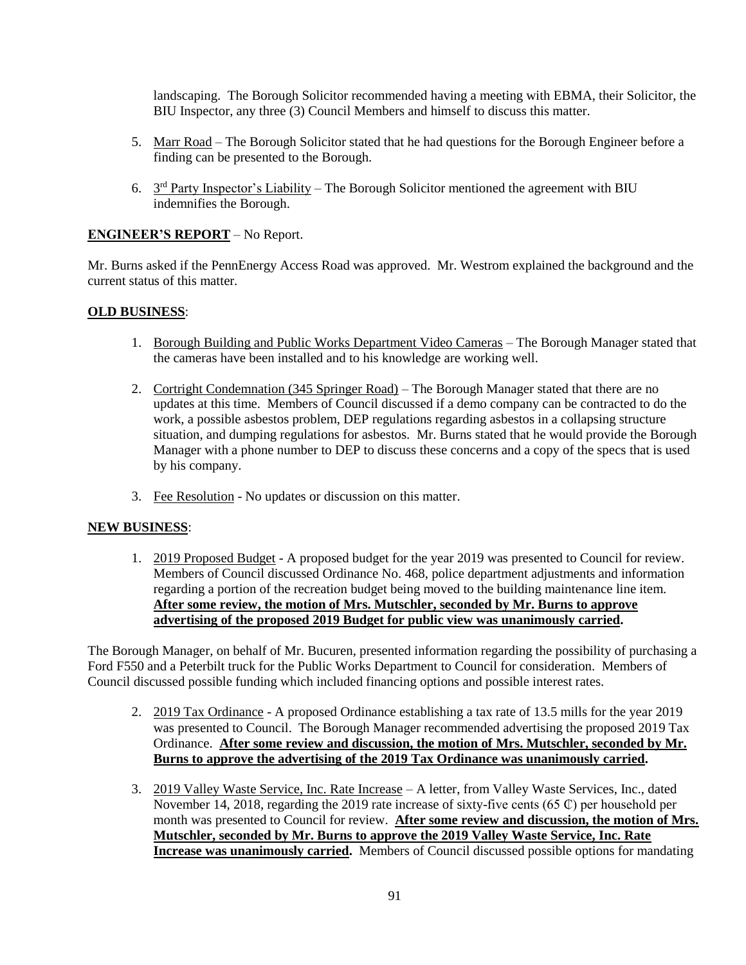landscaping. The Borough Solicitor recommended having a meeting with EBMA, their Solicitor, the BIU Inspector, any three (3) Council Members and himself to discuss this matter.

- 5. Marr Road The Borough Solicitor stated that he had questions for the Borough Engineer before a finding can be presented to the Borough.
- 6.  $3<sup>rd</sup>$  Party Inspector's Liability The Borough Solicitor mentioned the agreement with BIU indemnifies the Borough.

# **ENGINEER'S REPORT** – No Report.

Mr. Burns asked if the PennEnergy Access Road was approved. Mr. Westrom explained the background and the current status of this matter.

### **OLD BUSINESS**:

- 1. Borough Building and Public Works Department Video Cameras The Borough Manager stated that the cameras have been installed and to his knowledge are working well.
- 2. Cortright Condemnation (345 Springer Road) The Borough Manager stated that there are no updates at this time. Members of Council discussed if a demo company can be contracted to do the work, a possible asbestos problem, DEP regulations regarding asbestos in a collapsing structure situation, and dumping regulations for asbestos. Mr. Burns stated that he would provide the Borough Manager with a phone number to DEP to discuss these concerns and a copy of the specs that is used by his company.
- 3. Fee Resolution No updates or discussion on this matter.

#### **NEW BUSINESS**:

1. 2019 Proposed Budget - A proposed budget for the year 2019 was presented to Council for review. Members of Council discussed Ordinance No. 468, police department adjustments and information regarding a portion of the recreation budget being moved to the building maintenance line item. **After some review, the motion of Mrs. Mutschler, seconded by Mr. Burns to approve advertising of the proposed 2019 Budget for public view was unanimously carried.**

The Borough Manager, on behalf of Mr. Bucuren, presented information regarding the possibility of purchasing a Ford F550 and a Peterbilt truck for the Public Works Department to Council for consideration. Members of Council discussed possible funding which included financing options and possible interest rates.

- 2. 2019 Tax Ordinance A proposed Ordinance establishing a tax rate of 13.5 mills for the year 2019 was presented to Council. The Borough Manager recommended advertising the proposed 2019 Tax Ordinance. **After some review and discussion, the motion of Mrs. Mutschler, seconded by Mr. Burns to approve the advertising of the 2019 Tax Ordinance was unanimously carried.**
- 3. 2019 Valley Waste Service, Inc. Rate Increase A letter, from Valley Waste Services, Inc., dated November 14, 2018, regarding the 2019 rate increase of sixty-five cents (65 ₵) per household per month was presented to Council for review. **After some review and discussion, the motion of Mrs. Mutschler, seconded by Mr. Burns to approve the 2019 Valley Waste Service, Inc. Rate Increase was unanimously carried.** Members of Council discussed possible options for mandating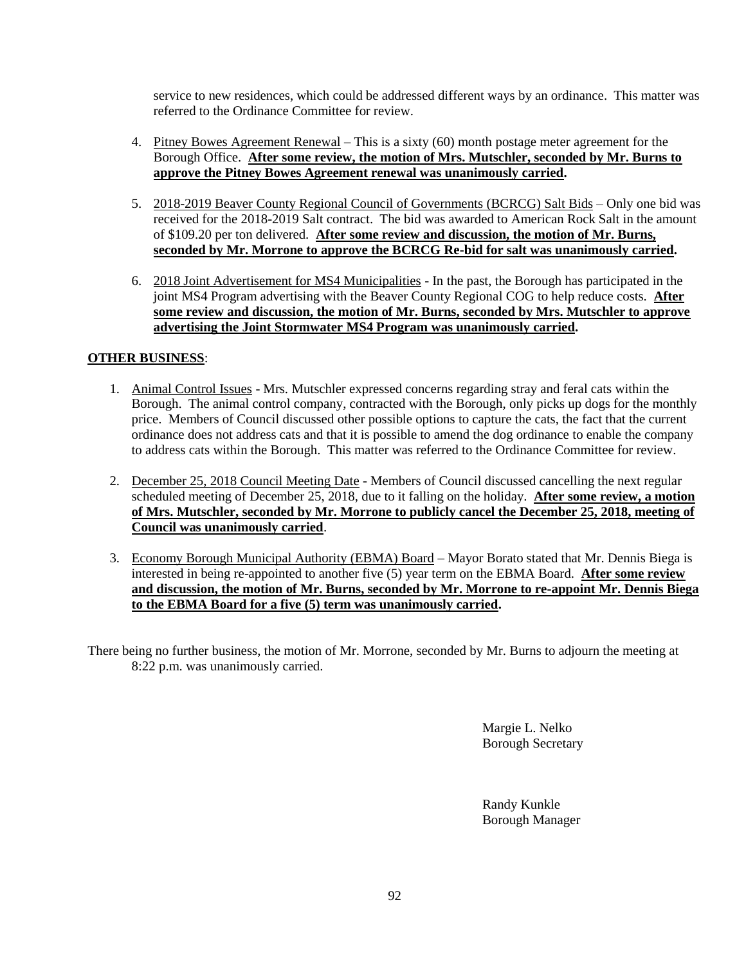service to new residences, which could be addressed different ways by an ordinance. This matter was referred to the Ordinance Committee for review.

- 4. Pitney Bowes Agreement Renewal This is a sixty (60) month postage meter agreement for the Borough Office. **After some review, the motion of Mrs. Mutschler, seconded by Mr. Burns to approve the Pitney Bowes Agreement renewal was unanimously carried.**
- 5. 2018-2019 Beaver County Regional Council of Governments (BCRCG) Salt Bids Only one bid was received for the 2018-2019 Salt contract. The bid was awarded to American Rock Salt in the amount of \$109.20 per ton delivered. **After some review and discussion, the motion of Mr. Burns, seconded by Mr. Morrone to approve the BCRCG Re-bid for salt was unanimously carried.**
- 6. 2018 Joint Advertisement for MS4 Municipalities In the past, the Borough has participated in the joint MS4 Program advertising with the Beaver County Regional COG to help reduce costs. **After some review and discussion, the motion of Mr. Burns, seconded by Mrs. Mutschler to approve advertising the Joint Stormwater MS4 Program was unanimously carried.**

# **OTHER BUSINESS**:

- 1. Animal Control Issues Mrs. Mutschler expressed concerns regarding stray and feral cats within the Borough. The animal control company, contracted with the Borough, only picks up dogs for the monthly price. Members of Council discussed other possible options to capture the cats, the fact that the current ordinance does not address cats and that it is possible to amend the dog ordinance to enable the company to address cats within the Borough. This matter was referred to the Ordinance Committee for review.
- 2. December 25, 2018 Council Meeting Date Members of Council discussed cancelling the next regular scheduled meeting of December 25, 2018, due to it falling on the holiday. **After some review, a motion of Mrs. Mutschler, seconded by Mr. Morrone to publicly cancel the December 25, 2018, meeting of Council was unanimously carried**.
- 3. Economy Borough Municipal Authority (EBMA) Board Mayor Borato stated that Mr. Dennis Biega is interested in being re-appointed to another five (5) year term on the EBMA Board. **After some review and discussion, the motion of Mr. Burns, seconded by Mr. Morrone to re-appoint Mr. Dennis Biega to the EBMA Board for a five (5) term was unanimously carried.**

There being no further business, the motion of Mr. Morrone, seconded by Mr. Burns to adjourn the meeting at 8:22 p.m. was unanimously carried.

> Margie L. Nelko Borough Secretary

Randy Kunkle Borough Manager